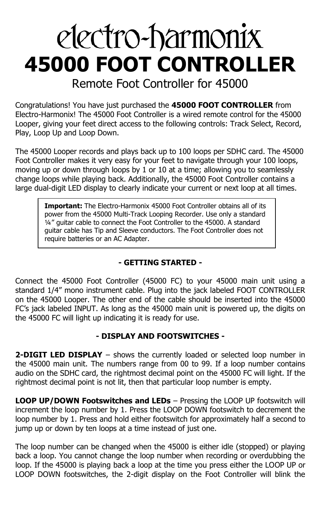# electro-harmonix **45000 FOOT CONTROLLER**

Remote Foot Controller for 45000

Congratulations! You have just purchased the **45000 FOOT CONTROLLER** from Electro-Harmonix! The 45000 Foot Controller is a wired remote control for the 45000 Looper, giving your feet direct access to the following controls: Track Select, Record, Play, Loop Up and Loop Down.

The 45000 Looper records and plays back up to 100 loops per SDHC card. The 45000 Foot Controller makes it very easy for your feet to navigate through your 100 loops, moving up or down through loops by 1 or 10 at a time; allowing you to seamlessly change loops while playing back. Additionally, the 45000 Foot Controller contains a large dual-digit LED display to clearly indicate your current or next loop at all times.

**Important:** The Electro-Harmonix 45000 Foot Controller obtains all of its power from the 45000 Multi-Track Looping Recorder. Use only a standard ¼" guitar cable to connect the Foot Controller to the 45000. A standard guitar cable has Tip and Sleeve conductors. The Foot Controller does not require batteries or an AC Adapter.

## **- GETTING STARTED -**

Connect the 45000 Foot Controller (45000 FC) to your 45000 main unit using a standard 1/4" mono instrument cable. Plug into the jack labeled FOOT CONTROLLER on the 45000 Looper. The other end of the cable should be inserted into the 45000 FC's jack labeled INPUT. As long as the 45000 main unit is powered up, the digits on the 45000 FC will light up indicating it is ready for use.

## **- DISPLAY AND FOOTSWITCHES -**

**2-DIGIT LED DISPLAY** – shows the currently loaded or selected loop number in the 45000 main unit. The numbers range from 00 to 99. If a loop number contains audio on the SDHC card, the rightmost decimal point on the 45000 FC will light. If the rightmost decimal point is not lit, then that particular loop number is empty.

**LOOP UP/DOWN Footswitches and LEDs** – Pressing the LOOP UP footswitch will increment the loop number by 1. Press the LOOP DOWN footswitch to decrement the loop number by 1. Press and hold either footswitch for approximately half a second to jump up or down by ten loops at a time instead of just one.

The loop number can be changed when the 45000 is either idle (stopped) or playing back a loop. You cannot change the loop number when recording or overdubbing the loop. If the 45000 is playing back a loop at the time you press either the LOOP UP or LOOP DOWN footswitches, the 2-digit display on the Foot Controller will blink the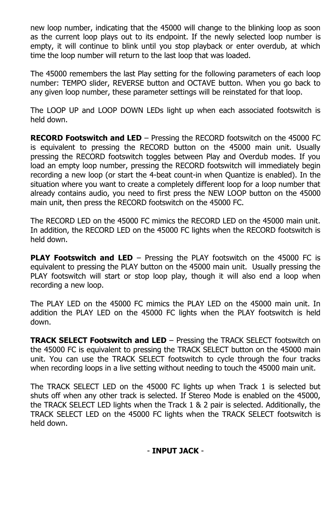new loop number, indicating that the 45000 will change to the blinking loop as soon as the current loop plays out to its endpoint. If the newly selected loop number is empty, it will continue to blink until you stop playback or enter overdub, at which time the loop number will return to the last loop that was loaded.

The 45000 remembers the last Play setting for the following parameters of each loop number: TEMPO slider, REVERSE button and OCTAVE button. When you go back to any given loop number, these parameter settings will be reinstated for that loop.

The LOOP UP and LOOP DOWN LEDs light up when each associated footswitch is held down.

**RECORD Footswitch and LED** – Pressing the RECORD footswitch on the 45000 FC is equivalent to pressing the RECORD button on the 45000 main unit. Usually pressing the RECORD footswitch toggles between Play and Overdub modes. If you load an empty loop number, pressing the RECORD footswitch will immediately begin recording a new loop (or start the 4-beat count-in when Quantize is enabled). In the situation where you want to create a completely different loop for a loop number that already contains audio, you need to first press the NEW LOOP button on the 45000 main unit, then press the RECORD footswitch on the 45000 FC.

The RECORD LED on the 45000 FC mimics the RECORD LED on the 45000 main unit. In addition, the RECORD LED on the 45000 FC lights when the RECORD footswitch is held down.

**PLAY Footswitch and LED** – Pressing the PLAY footswitch on the 45000 FC is equivalent to pressing the PLAY button on the 45000 main unit. Usually pressing the PLAY footswitch will start or stop loop play, though it will also end a loop when recording a new loop.

The PLAY LED on the 45000 FC mimics the PLAY LED on the 45000 main unit. In addition the PLAY LED on the 45000 FC lights when the PLAY footswitch is held down.

**TRACK SELECT Footswitch and LED** – Pressing the TRACK SELECT footswitch on the 45000 FC is equivalent to pressing the TRACK SELECT button on the 45000 main unit. You can use the TRACK SELECT footswitch to cycle through the four tracks when recording loops in a live setting without needing to touch the 45000 main unit.

The TRACK SELECT LED on the 45000 FC lights up when Track 1 is selected but shuts off when any other track is selected. If Stereo Mode is enabled on the 45000, the TRACK SELECT LED lights when the Track 1 & 2 pair is selected. Additionally, the TRACK SELECT LED on the 45000 FC lights when the TRACK SELECT footswitch is held down.

### - **INPUT JACK** -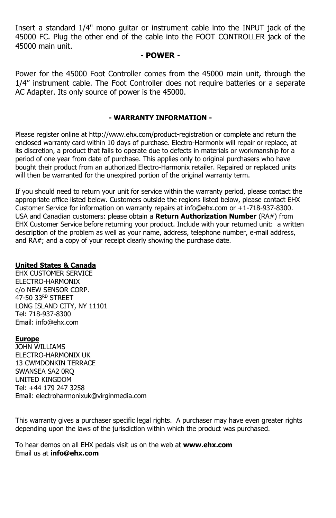Insert a standard 1/4" mono guitar or instrument cable into the INPUT jack of the 45000 FC. Plug the other end of the cable into the FOOT CONTROLLER jack of the 45000 main unit.

#### - **POWER** -

Power for the 45000 Foot Controller comes from the 45000 main unit, through the 1/4" instrument cable. The Foot Controller does not require batteries or a separate AC Adapter. Its only source of power is the 45000.

#### **- WARRANTY INFORMATION -**

Please register online at http://www.ehx.com/product-registration or complete and return the enclosed warranty card within 10 days of purchase. Electro-Harmonix will repair or replace, at its discretion, a product that fails to operate due to defects in materials or workmanship for a period of one year from date of purchase. This applies only to original purchasers who have bought their product from an authorized Electro-Harmonix retailer. Repaired or replaced units will then be warranted for the unexpired portion of the original warranty term.

If you should need to return your unit for service within the warranty period, please contact the appropriate office listed below. Customers outside the regions listed below, please contact EHX Customer Service for information on warranty repairs at info@ehx.com or +1-718-937-8300. USA and Canadian customers: please obtain a **Return Authorization Number** (RA#) from EHX Customer Service before returning your product. Include with your returned unit: a written description of the problem as well as your name, address, telephone number, e-mail address, and RA#; and a copy of your receipt clearly showing the purchase date.

#### **United States & Canada**

EHX CUSTOMER SERVICE ELECTRO-HARMONIX c/o NEW SENSOR CORP. 47-50 33RD STREET LONG ISLAND CITY, NY 11101 Tel: 718-937-8300 Email: info@ehx.com

#### **Europe**

JOHN WILLIAMS ELECTRO-HARMONIX UK 13 CWMDONKIN TERRACE SWANSEA SA2 0RQ UNITED KINGDOM Tel: +44 179 247 3258 Email: electroharmonixuk@virginmedia.com

This warranty gives a purchaser specific legal rights. A purchaser may have even greater rights depending upon the laws of the jurisdiction within which the product was purchased.

To hear demos on all EHX pedals visit us on the web at **www.ehx.com** Email us at **info@ehx.com**